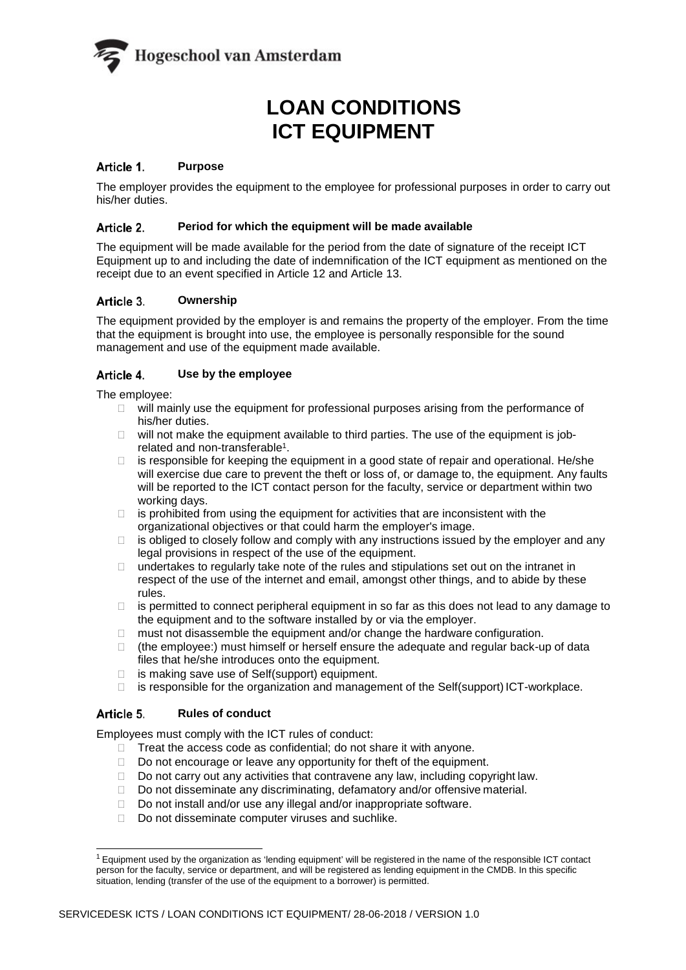

# **LOAN CONDITIONS ICT EQUIPMENT**

# Article 1. Purpose

The employer provides the equipment to the employee for professional purposes in order to carry out his/her duties.

## **Period for which the equipment will be made available**

The equipment will be made available for the period from the date of signature of the receipt ICT Equipment up to and including the date of indemnification of the ICT equipment as mentioned on the receipt due to an event specified in Article 12 and Article 13.

# **Ownership**

The equipment provided by the employer is and remains the property of the employer. From the time that the equipment is brought into use, the employee is personally responsible for the sound management and use of the equipment made available.

## **Use by the employee**

The employee:

- $\Box$  will mainly use the equipment for professional purposes arising from the performance of his/her duties.
- $\Box$  will not make the equipment available to third parties. The use of the equipment is jobrelated and non-transferabl[e1.](#page-0-0)
- $\Box$  is responsible for keeping the equipment in a good state of repair and operational. He/she will exercise due care to prevent the theft or loss of, or damage to, the equipment. Any faults will be reported to the ICT contact person for the faculty, service or department within two working days.
- $\Box$  is prohibited from using the equipment for activities that are inconsistent with the organizational objectives or that could harm the employer's image.
- $\Box$  is obliged to closely follow and comply with any instructions issued by the employer and any legal provisions in respect of the use of the equipment.
- $\Box$  undertakes to regularly take note of the rules and stipulations set out on the intranet in respect of the use of the internet and email, amongst other things, and to abide by these rules.
- $\Box$  is permitted to connect peripheral equipment in so far as this does not lead to any damage to the equipment and to the software installed by or via the employer.
- $\Box$  must not disassemble the equipment and/or change the hardware configuration.
- $\Box$  (the employee:) must himself or herself ensure the adequate and regular back-up of data files that he/she introduces onto the equipment.
- □ is making save use of Self(support) equipment.
- $\Box$  is responsible for the organization and management of the Self(support) ICT-workplace.

### **Rules of conduct**

Employees must comply with the ICT rules of conduct:

- $\Box$  Treat the access code as confidential; do not share it with anyone.
- $\Box$  Do not encourage or leave any opportunity for theft of the equipment.
- $\Box$  Do not carry out any activities that contravene any law, including copyright law.
- □ Do not disseminate any discriminating, defamatory and/or offensive material.
- $\Box$  Do not install and/or use any illegal and/or inappropriate software.
- $\Box$  Do not disseminate computer viruses and suchlike.

<span id="page-0-0"></span><sup>1</sup> Equipment used by the organization as 'lending equipment' will be registered in the name of the responsible ICT contact person for the faculty, service or department, and will be registered as lending equipment in the CMDB. In this specific situation, lending (transfer of the use of the equipment to a borrower) is permitted.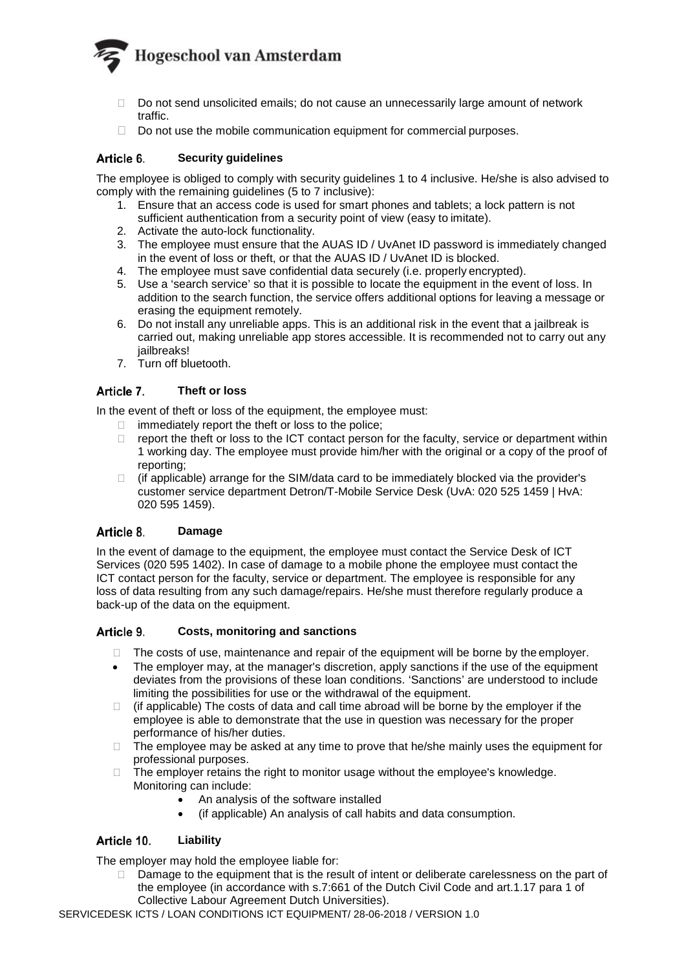

- $\Box$  Do not send unsolicited emails; do not cause an unnecessarily large amount of network traffic.
- $\Box$  Do not use the mobile communication equipment for commercial purposes.

## **Security guidelines**

The employee is obliged to comply with security guidelines 1 to 4 inclusive. He/she is also advised to comply with the remaining guidelines (5 to 7 inclusive):

- 1. Ensure that an access code is used for smart phones and tablets; a lock pattern is not sufficient authentication from a security point of view (easy to imitate).
- 2. Activate the auto-lock functionality.
- 3. The employee must ensure that the AUAS ID / UvAnet ID password is immediately changed in the event of loss or theft, or that the AUAS ID / UvAnet ID is blocked.
- 4. The employee must save confidential data securely (i.e. properly encrypted).
- 5. Use a 'search service' so that it is possible to locate the equipment in the event of loss. In addition to the search function, the service offers additional options for leaving a message or erasing the equipment remotely.
- 6. Do not install any unreliable apps. This is an additional risk in the event that a jailbreak is carried out, making unreliable app stores accessible. It is recommended not to carry out any jailbreaks!
- 7. Turn off bluetooth.

### **Theft or loss**

In the event of theft or loss of the equipment, the employee must:

- $\Box$  immediately report the theft or loss to the police;<br> $\Box$  report the theft or loss to the ICT contact person
- report the theft or loss to the ICT contact person for the faculty, service or department within 1 working day. The employee must provide him/her with the original or a copy of the proof of reporting;
- $\Box$  (if applicable) arrange for the SIM/data card to be immediately blocked via the provider's customer service department Detron/T-Mobile Service Desk (UvA: 020 525 1459 | HvA: 020 595 1459).

### **Damage**

In the event of damage to the equipment, the employee must contact the Service Desk of ICT Services (020 595 1402). In case of damage to a mobile phone the employee must contact the ICT contact person for the faculty, service or department. The employee is responsible for any loss of data resulting from any such damage/repairs. He/she must therefore regularly produce a back-up of the data on the equipment.

### **Costs, monitoring and sanctions**

- The costs of use, maintenance and repair of the equipment will be borne by the employer.
- The employer may, at the manager's discretion, apply sanctions if the use of the equipment deviates from the provisions of these loan conditions. 'Sanctions' are understood to include limiting the possibilities for use or the withdrawal of the equipment.
- $\Box$  (if applicable) The costs of data and call time abroad will be borne by the employer if the employee is able to demonstrate that the use in question was necessary for the proper performance of his/her duties.
- $\Box$  The employee may be asked at any time to prove that he/she mainly uses the equipment for professional purposes.
- $\Box$  The employer retains the right to monitor usage without the employee's knowledge. Monitoring can include:
	- An analysis of the software installed
	- (if applicable) An analysis of call habits and data consumption.

# **Liability**

The employer may hold the employee liable for:

 $\Box$  Damage to the equipment that is the result of intent or deliberate carelessness on the part of the employee (in accordance with s.7:661 of the Dutch Civil Code and art.1.17 para 1 of Collective Labour Agreement Dutch Universities).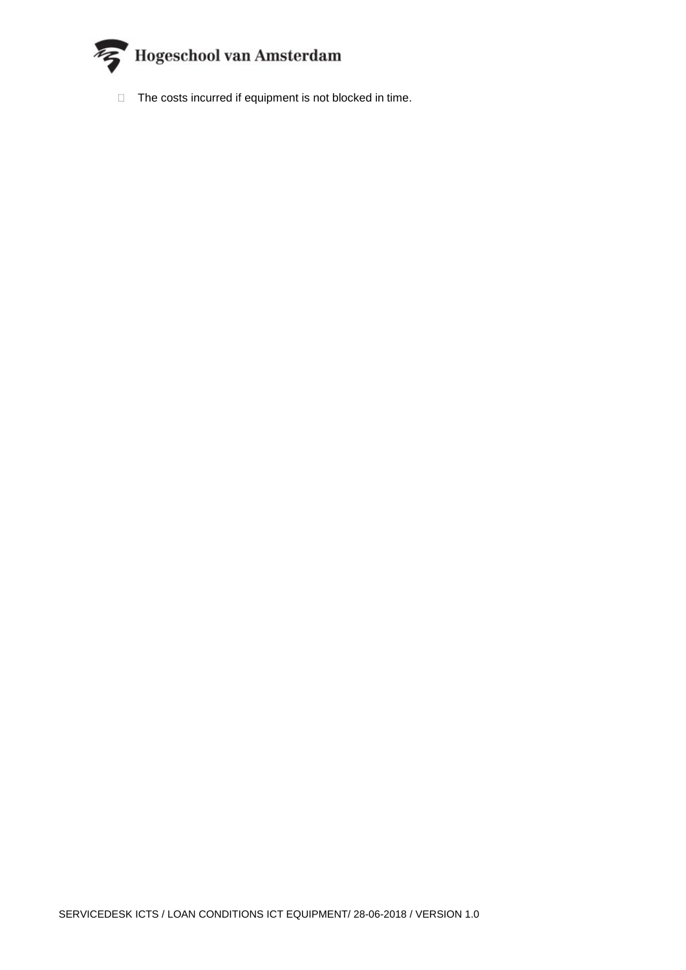

 $\Box$  The costs incurred if equipment is not blocked in time.